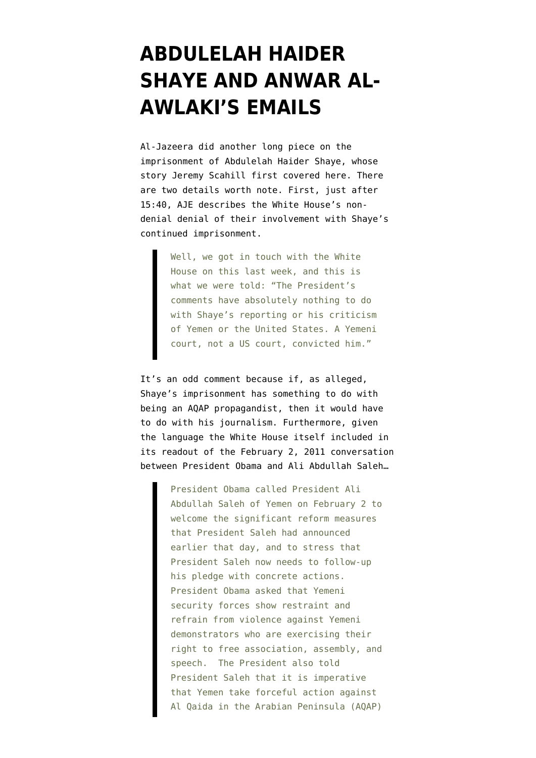## **[ABDULELAH HAIDER](https://www.emptywheel.net/2012/03/25/abdulelah-haider-shaye-and-anwar-al-awlakis-emails/) [SHAYE AND ANWAR AL-](https://www.emptywheel.net/2012/03/25/abdulelah-haider-shaye-and-anwar-al-awlakis-emails/)[AWLAKI'S EMAILS](https://www.emptywheel.net/2012/03/25/abdulelah-haider-shaye-and-anwar-al-awlakis-emails/)**

Al-Jazeera did another long piece on the imprisonment of Abdulelah Haider Shaye, whose story Jeremy Scahill first covered [here.](http://www.thenation.com/article/166757/why-president-obama-keeping-journalist-prison-yemen) There are two details worth note. First, just after 15:40, AJE describes the White House's nondenial denial of their involvement with Shaye's continued imprisonment.

> Well, we got in touch with the White House on this last week, and this is what we were told: "The President's comments have absolutely nothing to do with Shaye's reporting or his criticism of Yemen or the United States. A Yemeni court, not a US court, convicted him."

It's an odd comment because if, as alleged, Shaye's imprisonment has something to do with being an AQAP propagandist, then it would have to do with his journalism. Furthermore, given the language the White House itself included in its readout of the February 2, 2011 conversation between President Obama and Ali Abdullah Saleh…

> President Obama called President Ali Abdullah Saleh of Yemen on February 2 to welcome the significant reform measures that President Saleh had announced earlier that day, and to stress that President Saleh now needs to follow-up his pledge with concrete actions. President Obama asked that Yemeni security forces show restraint and refrain from violence against Yemeni demonstrators who are exercising their right to free association, assembly, and speech. The President also told President Saleh that it is imperative that Yemen take forceful action against Al Qaida in the Arabian Peninsula (AQAP)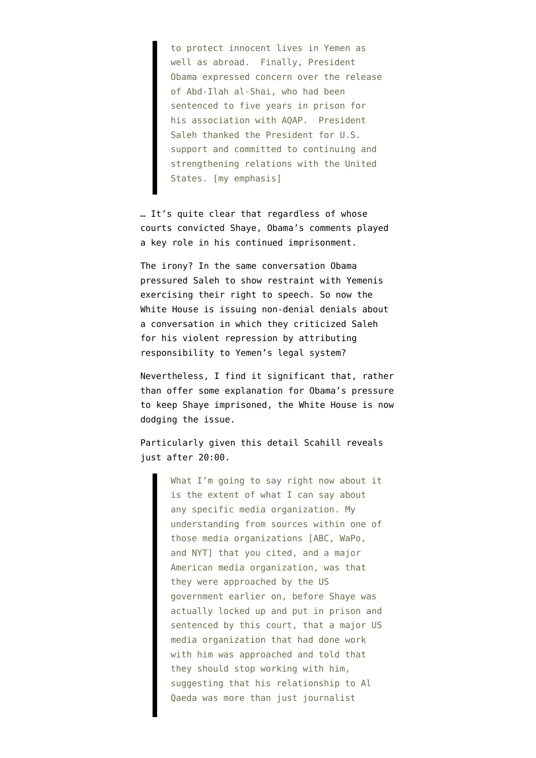to protect innocent lives in Yemen as well as abroad. Finally, President Obama expressed concern over the release of Abd-Ilah al-Shai, who had been sentenced to five years in prison for his association with AQAP. President Saleh thanked the President for U.S. support and committed to continuing and strengthening relations with the United States. [my emphasis]

… It's quite clear that regardless of whose courts convicted Shaye, Obama's comments played a key role in his continued imprisonment.

The irony? In the same conversation Obama pressured Saleh to show restraint with Yemenis exercising their right to speech. So now the White House is issuing non-denial denials about a conversation in which they criticized Saleh for his violent repression by attributing responsibility to Yemen's legal system?

Nevertheless, I find it significant that, rather than offer some explanation for Obama's pressure to keep Shaye imprisoned, the White House is now dodging the issue.

Particularly given this detail Scahill reveals just after 20:00.

> What I'm going to say right now about it is the extent of what I can say about any specific media organization. My understanding from sources within one of those media organizations [ABC, WaPo, and NYT] that you cited, and a major American media organization, was that they were approached by the US government earlier on, before Shaye was actually locked up and put in prison and sentenced by this court, that a major US media organization that had done work with him was approached and told that they should stop working with him, suggesting that his relationship to Al Qaeda was more than just journalist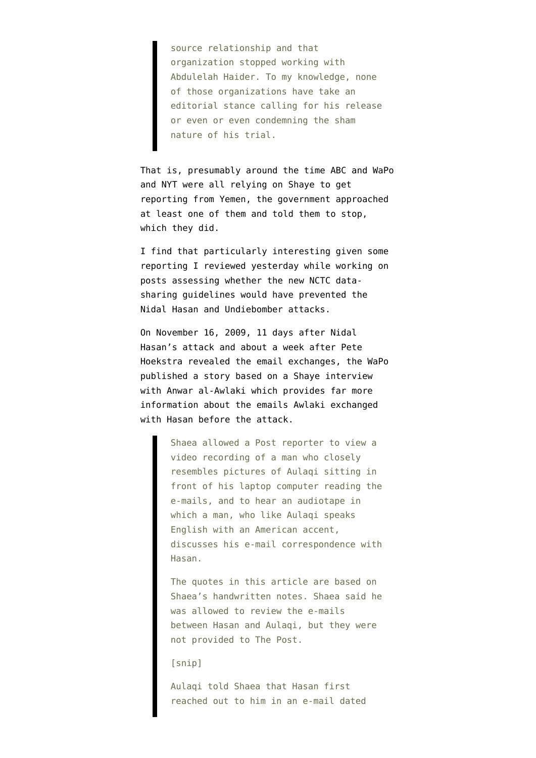source relationship and that organization stopped working with Abdulelah Haider. To my knowledge, none of those organizations have take an editorial stance calling for his release or even or even condemning the sham nature of his trial.

That is, presumably around the time ABC and WaPo and NYT were all relying on Shaye to get reporting from Yemen, the government approached at least one of them and told them to stop, which they did.

I find that particularly interesting given some reporting I reviewed yesterday while working on posts assessing whether the [new NCTC data](http://www.emptywheel.net/2012/03/23/the-national-counterterrorism-center-just-declared-all-of-us-domestic-terrorists/)[sharing guidelines](http://www.emptywheel.net/2012/03/23/the-national-counterterrorism-center-just-declared-all-of-us-domestic-terrorists/) would have prevented the Nidal Hasan and Undiebomber attacks.

On November 16, 2009, 11 days after Nidal Hasan's attack and about a week after Pete Hoekstra revealed the email exchanges, the [WaPo](http://www.washingtonpost.com/wp-dyn/content/article/2009/11/15/AR2009111503160_pf.html) [published a story](http://www.washingtonpost.com/wp-dyn/content/article/2009/11/15/AR2009111503160_pf.html) based on a Shaye interview with Anwar al-Awlaki which provides far more information about the emails Awlaki exchanged with Hasan before the attack.

> Shaea allowed a Post reporter to view a video recording of a man who closely resembles pictures of Aulaqi sitting in front of his laptop computer reading the e-mails, and to hear an audiotape in which a man, who like Aulaqi speaks English with an American accent, discusses his e-mail correspondence with Hasan.

> The quotes in this article are based on Shaea's handwritten notes. Shaea said he was allowed to review the e-mails between Hasan and Aulaqi, but they were not provided to The Post.

[snip]

Aulaqi told Shaea that Hasan first reached out to him in an e-mail dated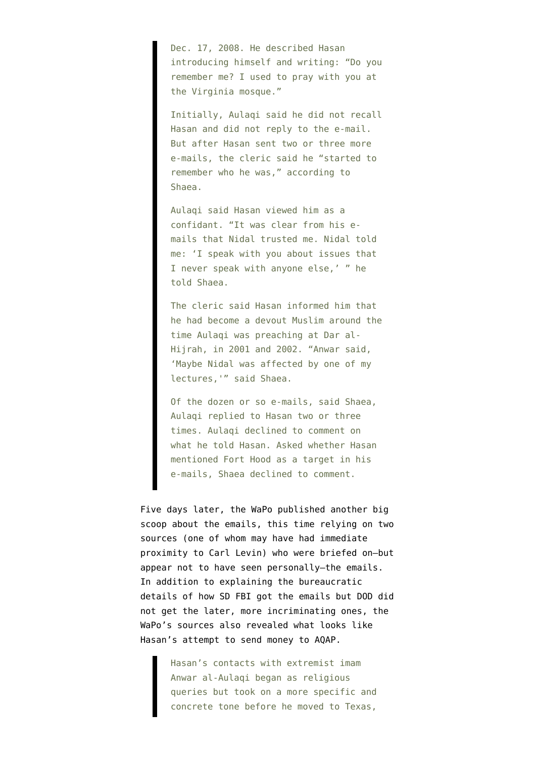Dec. 17, 2008. He described Hasan introducing himself and writing: "Do you remember me? I used to pray with you at the Virginia mosque."

Initially, Aulaqi said he did not recall Hasan and did not reply to the e-mail. But after Hasan sent two or three more e-mails, the cleric said he "started to remember who he was," according to Shaea.

Aulaqi said Hasan viewed him as a confidant. "It was clear from his emails that Nidal trusted me. Nidal told me: 'I speak with you about issues that I never speak with anyone else,' " he told Shaea.

The cleric said Hasan informed him that he had become a devout Muslim around the time Aulaqi was preaching at Dar al-Hijrah, in 2001 and 2002. "Anwar said, 'Maybe Nidal was affected by one of my lectures,'" said Shaea.

Of the dozen or so e-mails, said Shaea, Aulaqi replied to Hasan two or three times. Aulaqi declined to comment on what he told Hasan. Asked whether Hasan mentioned Fort Hood as a target in his e-mails, Shaea declined to comment.

Five days later, [the WaPo published another big](http://www.washingtonpost.com/wp-dyn/content/article/2009/11/20/AR2009112004381_pf.html) [scoop](http://www.washingtonpost.com/wp-dyn/content/article/2009/11/20/AR2009112004381_pf.html) about the emails, this time relying on two sources (one of whom may have had immediate proximity to Carl Levin) who were briefed on–but appear not to have seen personally–the emails. In addition to explaining the bureaucratic details of how SD FBI got the emails but DOD did not get the later, more incriminating ones, the WaPo's sources also revealed what looks like Hasan's attempt to send money to AQAP.

> Hasan's contacts with extremist imam Anwar al-Aulaqi began as religious queries but took on a more specific and concrete tone before he moved to Texas,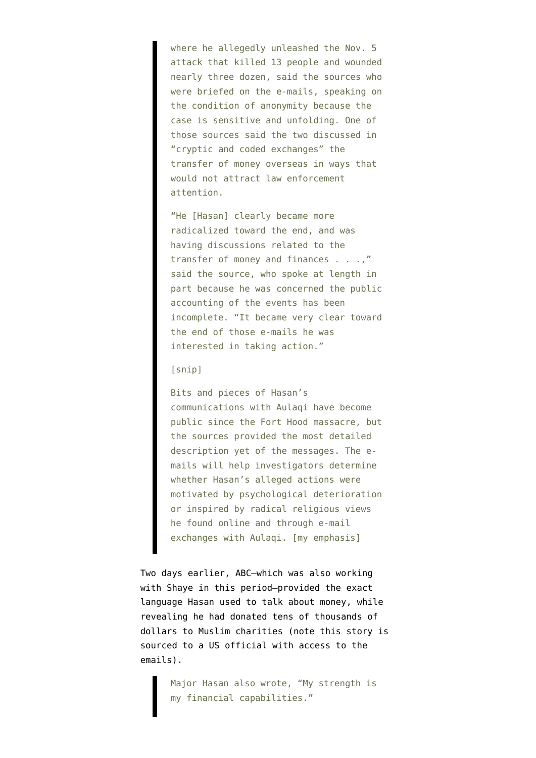where he allegedly unleashed the Nov. 5 attack that killed 13 people and wounded nearly three dozen, said the sources who were briefed on the e-mails, speaking on the condition of anonymity because the case is sensitive and unfolding. One of those sources said the two discussed in "cryptic and coded exchanges" the transfer of money overseas in ways that would not attract law enforcement attention.

"He [Hasan] clearly became more radicalized toward the end, and was having discussions related to the transfer of money and finances . . .," said the source, who spoke at length in part because he was concerned the public accounting of the events has been incomplete. "It became very clear toward the end of those e-mails he was interested in taking action."

## [snip]

Bits and pieces of Hasan's communications with Aulaqi have become public since the Fort Hood massacre, but the sources provided the most detailed description yet of the messages. The emails will help investigators determine whether Hasan's alleged actions were motivated by psychological deterioration or inspired by radical religious views he found online and through e-mail exchanges with Aulagi. [my emphasis]

Two days earlier, ABC–which was [also working](http://abcnews.go.com/Blotter/awlaki-alive/story?id=9455144#.T289LI6KW61) [with Shaye in this period—](http://abcnews.go.com/Blotter/awlaki-alive/story?id=9455144#.T289LI6KW61)[provided](http://abcnews.go.com/Blotter/major-hasans-mail-wait-join-afterlife/story?id=9130339#.T288zo6KW60) the exact language Hasan used to talk about money, while revealing he had donated tens of thousands of dollars to Muslim charities (note this story is sourced to a US official with access to the emails).

> Major Hasan also wrote, "My strength is my financial capabilities."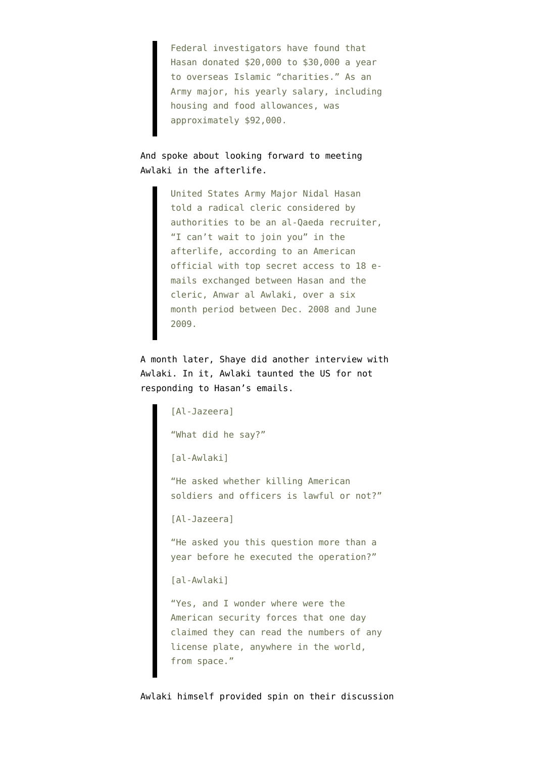Federal investigators have found that Hasan donated \$20,000 to \$30,000 a year to overseas Islamic "charities." As an Army major, his yearly salary, including housing and food allowances, was approximately \$92,000.

And spoke about looking forward to meeting Awlaki in the afterlife.

> United States Army Major Nidal Hasan told a radical cleric considered by authorities to be an al-Qaeda recruiter, "I can't wait to join you" in the afterlife, according to an American official with top secret access to 18 emails exchanged between Hasan and the cleric, Anwar al Awlaki, over a six month period between Dec. 2008 and June 2009.

A month later, Shaye [did another interview with](https://encrypted.google.com/url?sa=t&rct=j&q=%22how%20can%20you%20support%20what%20nidal%20did%2C%20when%20he%20was%20betraying%20his%20american%20homeland&source=web&cd=5&ved=0CEMQFjAE&url=http%3A%2F%2Fwww.nefafoundation.org%2Fmiscellaneous%2FNEFAal-Awlaki1209-2.pdf&ei=EQhuT-6MKebi0QHK4aD5Bg&usg=AFQjCNGn9b_rqC_Z57eMZLYcxpxTb1ZDdw&cad=rja) [Awlaki](https://encrypted.google.com/url?sa=t&rct=j&q=%22how%20can%20you%20support%20what%20nidal%20did%2C%20when%20he%20was%20betraying%20his%20american%20homeland&source=web&cd=5&ved=0CEMQFjAE&url=http%3A%2F%2Fwww.nefafoundation.org%2Fmiscellaneous%2FNEFAal-Awlaki1209-2.pdf&ei=EQhuT-6MKebi0QHK4aD5Bg&usg=AFQjCNGn9b_rqC_Z57eMZLYcxpxTb1ZDdw&cad=rja). In it, Awlaki taunted the US for not responding to Hasan's emails.

[Al-Jazeera] "What did he say?" [al-Awlaki] "He asked whether killing American soldiers and officers is lawful or not?" [Al-Jazeera] "He asked you this question more than a year before he executed the operation?" [al-Awlaki] "Yes, and I wonder where were the American security forces that one day claimed they can read the numbers of any license plate, anywhere in the world, from space."

Awlaki himself provided spin on their discussion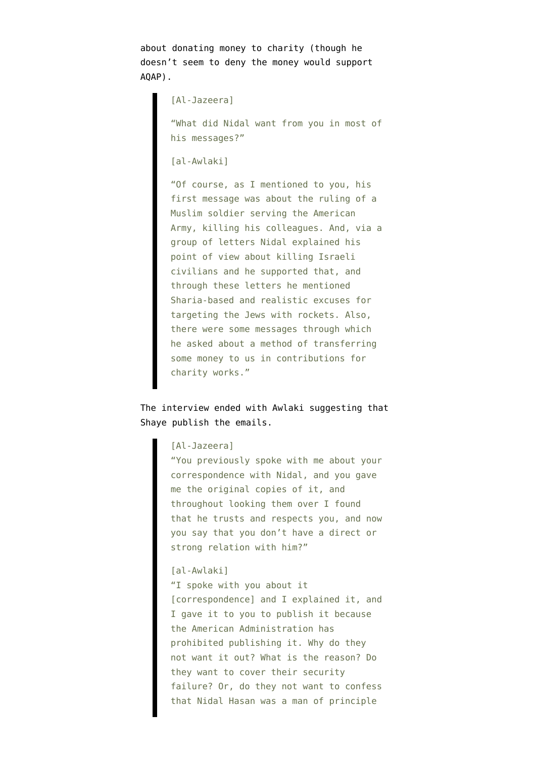about donating money to charity (though he doesn't seem to deny the money would support AQAP).

[Al-Jazeera]

"What did Nidal want from you in most of his messages?"

[al-Awlaki]

"Of course, as I mentioned to you, his first message was about the ruling of a Muslim soldier serving the American Army, killing his colleagues. And, via a group of letters Nidal explained his point of view about killing Israeli civilians and he supported that, and through these letters he mentioned Sharia-based and realistic excuses for targeting the Jews with rockets. Also, there were some messages through which he asked about a method of transferring some money to us in contributions for charity works."

The interview ended with Awlaki suggesting that Shaye publish the emails.

## [Al-Jazeera]

"You previously spoke with me about your correspondence with Nidal, and you gave me the original copies of it, and throughout looking them over I found that he trusts and respects you, and now you say that you don't have a direct or strong relation with him?"

## [al-Awlaki]

"I spoke with you about it [correspondence] and I explained it, and I gave it to you to publish it because the American Administration has prohibited publishing it. Why do they not want it out? What is the reason? Do they want to cover their security failure? Or, do they not want to confess that Nidal Hasan was a man of principle